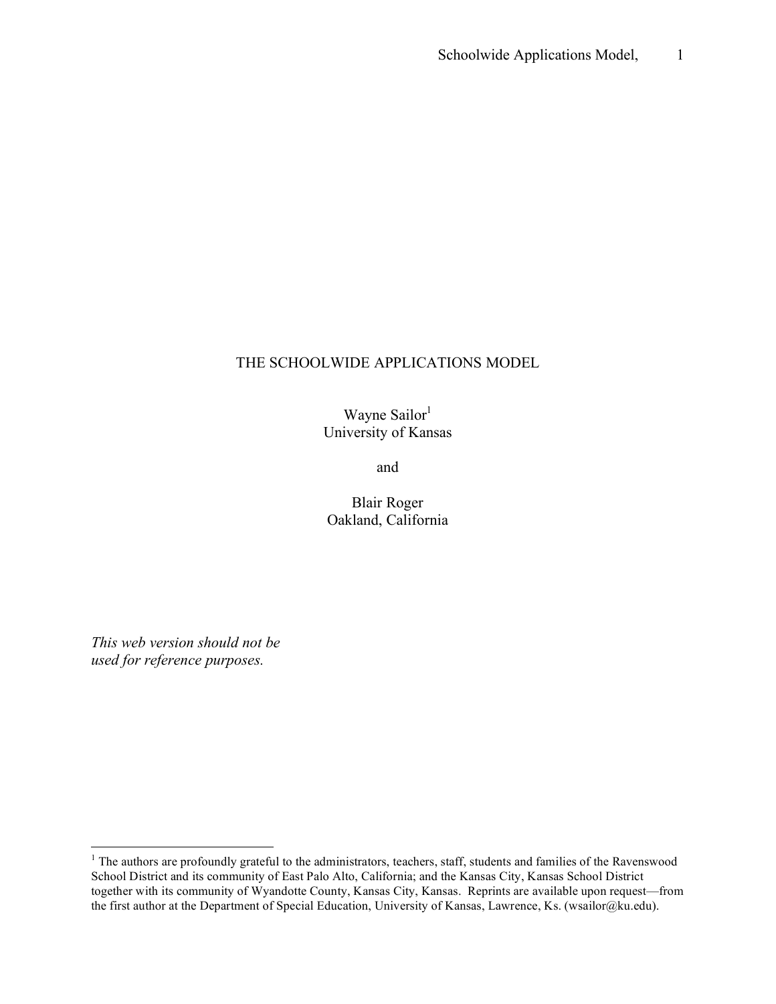## THE SCHOOLWIDE APPLICATIONS MODEL

Wayne Sailor<sup>1</sup> University of Kansas

and

Blair Roger Oakland, California

*This web version should not be used for reference purposes.*

<sup>&</sup>lt;sup>1</sup> The authors are profoundly grateful to the administrators, teachers, staff, students and families of the Ravenswood School District and its community of East Palo Alto, California; and the Kansas City, Kansas School District together with its community of Wyandotte County, Kansas City, Kansas. Reprints are available upon request—from the first author at the Department of Special Education, University of Kansas, Lawrence, Ks. (wsailor@ku.edu).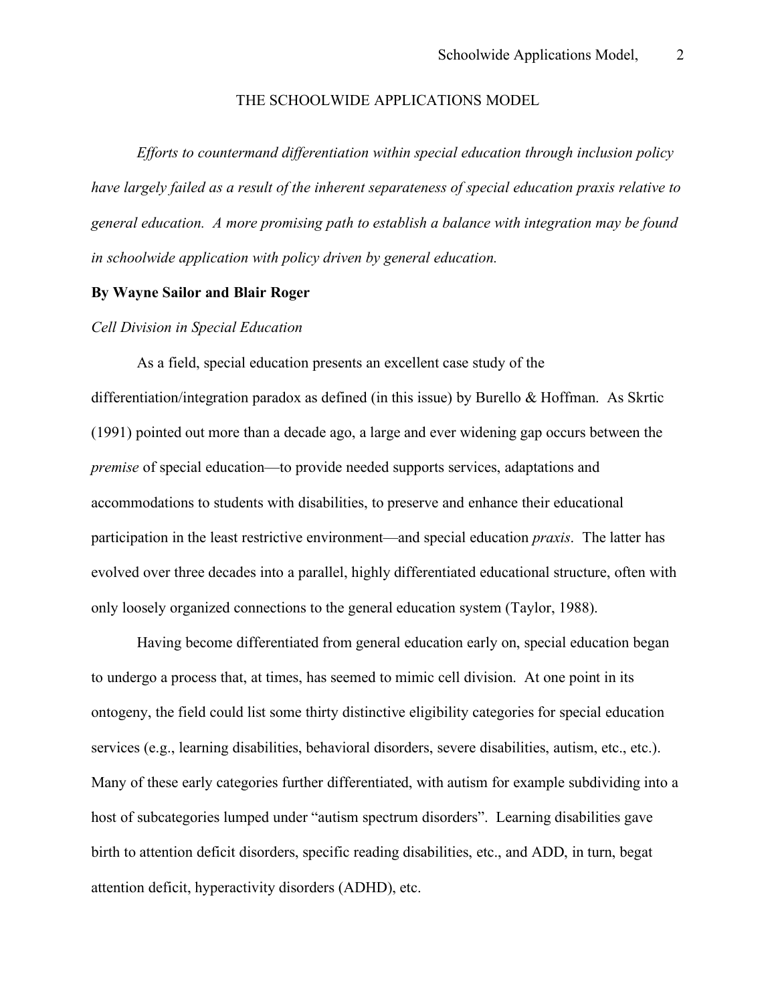#### THE SCHOOLWIDE APPLICATIONS MODEL

*Efforts to countermand differentiation within special education through inclusion policy have largely failed as a result of the inherent separateness of special education praxis relative to general education. A more promising path to establish a balance with integration may be found in schoolwide application with policy driven by general education.*

## **By Wayne Sailor and Blair Roger**

## *Cell Division in Special Education*

As a field, special education presents an excellent case study of the differentiation/integration paradox as defined (in this issue) by Burello & Hoffman. As Skrtic (1991) pointed out more than a decade ago, a large and ever widening gap occurs between the *premise* of special education—to provide needed supports services, adaptations and accommodations to students with disabilities, to preserve and enhance their educational participation in the least restrictive environment—and special education *praxis*. The latter has evolved over three decades into a parallel, highly differentiated educational structure, often with only loosely organized connections to the general education system (Taylor, 1988).

Having become differentiated from general education early on, special education began to undergo a process that, at times, has seemed to mimic cell division. At one point in its ontogeny, the field could list some thirty distinctive eligibility categories for special education services (e.g., learning disabilities, behavioral disorders, severe disabilities, autism, etc., etc.). Many of these early categories further differentiated, with autism for example subdividing into a host of subcategories lumped under "autism spectrum disorders". Learning disabilities gave birth to attention deficit disorders, specific reading disabilities, etc., and ADD, in turn, begat attention deficit, hyperactivity disorders (ADHD), etc.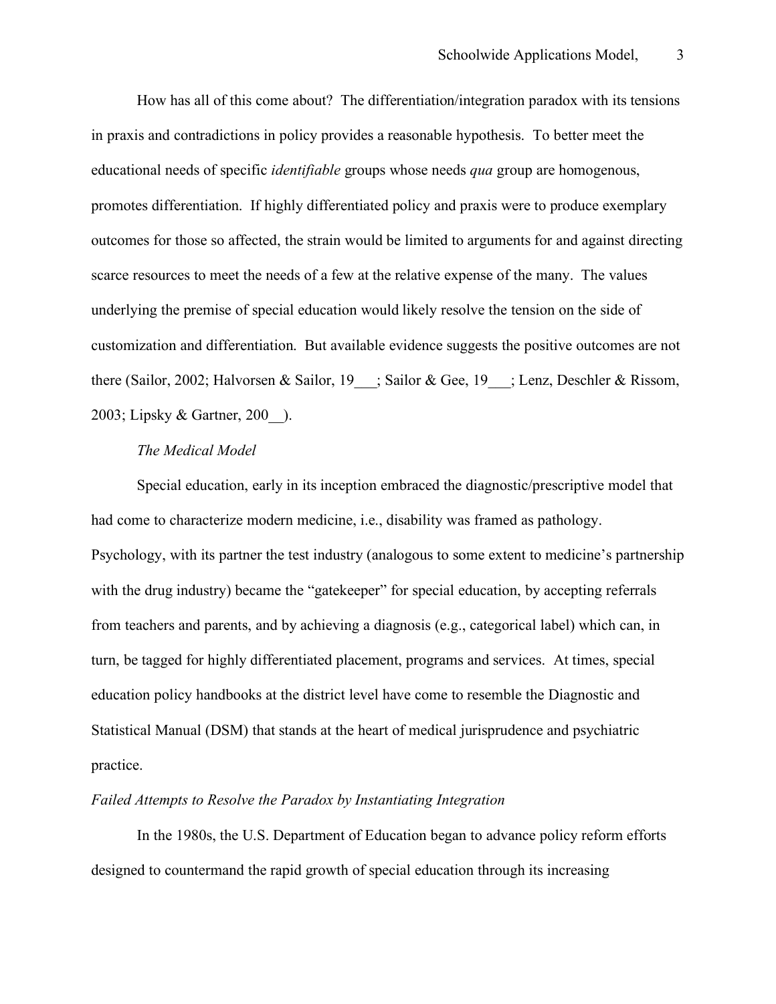How has all of this come about? The differentiation/integration paradox with its tensions in praxis and contradictions in policy provides a reasonable hypothesis. To better meet the educational needs of specific *identifiable* groups whose needs *qua* group are homogenous, promotes differentiation. If highly differentiated policy and praxis were to produce exemplary outcomes for those so affected, the strain would be limited to arguments for and against directing scarce resources to meet the needs of a few at the relative expense of the many. The values underlying the premise of special education would likely resolve the tension on the side of customization and differentiation. But available evidence suggests the positive outcomes are not there (Sailor, 2002; Halvorsen & Sailor, 19 = ; Sailor & Gee, 19 = ; Lenz, Deschler & Rissom, 2003; Lipsky & Gartner, 200\_\_).

#### *The Medical Model*

Special education, early in its inception embraced the diagnostic/prescriptive model that had come to characterize modern medicine, i.e., disability was framed as pathology. Psychology, with its partner the test industry (analogous to some extent to medicine's partnership with the drug industry) became the "gatekeeper" for special education, by accepting referrals from teachers and parents, and by achieving a diagnosis (e.g., categorical label) which can, in turn, be tagged for highly differentiated placement, programs and services. At times, special education policy handbooks at the district level have come to resemble the Diagnostic and Statistical Manual (DSM) that stands at the heart of medical jurisprudence and psychiatric practice.

### *Failed Attempts to Resolve the Paradox by Instantiating Integration*

In the 1980s, the U.S. Department of Education began to advance policy reform efforts designed to countermand the rapid growth of special education through its increasing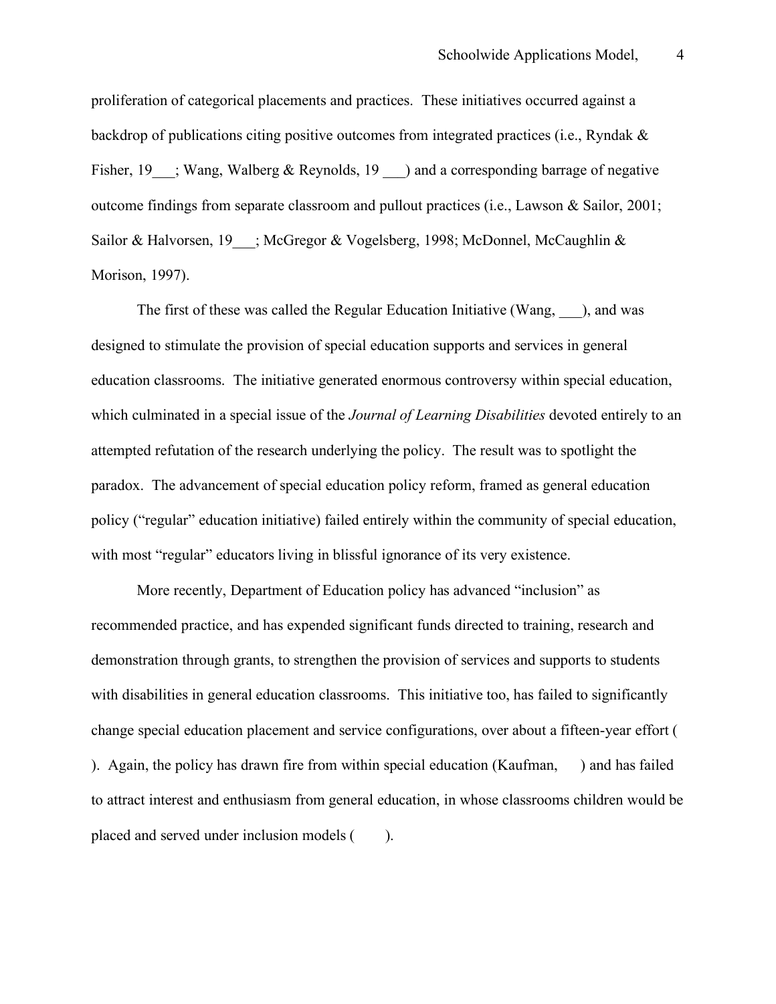proliferation of categorical placements and practices. These initiatives occurred against a backdrop of publications citing positive outcomes from integrated practices (i.e., Ryndak & Fisher, 19  $\cdot$ ; Wang, Walberg & Reynolds, 19  $\cdot$  ) and a corresponding barrage of negative outcome findings from separate classroom and pullout practices (i.e., Lawson & Sailor, 2001; Sailor & Halvorsen, 19\_\_\_; McGregor & Vogelsberg, 1998; McDonnel, McCaughlin & Morison, 1997).

The first of these was called the Regular Education Initiative (Wang, ), and was designed to stimulate the provision of special education supports and services in general education classrooms. The initiative generated enormous controversy within special education, which culminated in a special issue of the *Journal of Learning Disabilities* devoted entirely to an attempted refutation of the research underlying the policy. The result was to spotlight the paradox. The advancement of special education policy reform, framed as general education policy ("regular" education initiative) failed entirely within the community of special education, with most "regular" educators living in blissful ignorance of its very existence.

More recently, Department of Education policy has advanced "inclusion" as recommended practice, and has expended significant funds directed to training, research and demonstration through grants, to strengthen the provision of services and supports to students with disabilities in general education classrooms. This initiative too, has failed to significantly change special education placement and service configurations, over about a fifteen-year effort ( ). Again, the policy has drawn fire from within special education (Kaufman, ) and has failed to attract interest and enthusiasm from general education, in whose classrooms children would be placed and served under inclusion models ( ).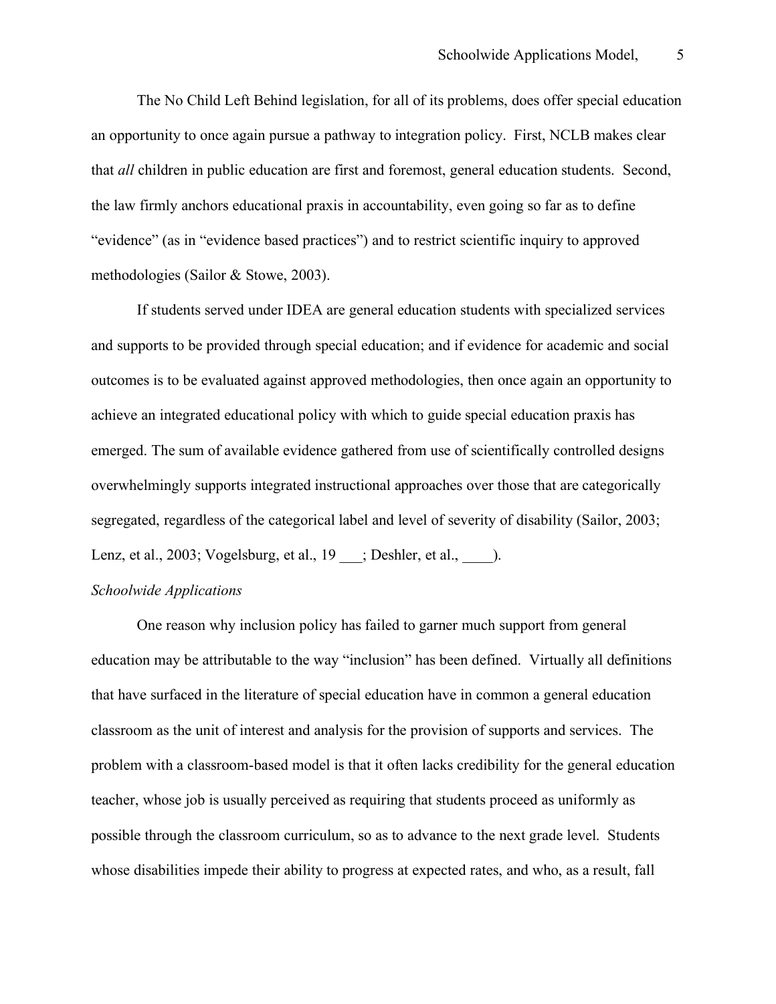The No Child Left Behind legislation, for all of its problems, does offer special education an opportunity to once again pursue a pathway to integration policy. First, NCLB makes clear that *all* children in public education are first and foremost, general education students. Second, the law firmly anchors educational praxis in accountability, even going so far as to define "evidence" (as in "evidence based practices") and to restrict scientific inquiry to approved methodologies (Sailor & Stowe, 2003).

If students served under IDEA are general education students with specialized services and supports to be provided through special education; and if evidence for academic and social outcomes is to be evaluated against approved methodologies, then once again an opportunity to achieve an integrated educational policy with which to guide special education praxis has emerged. The sum of available evidence gathered from use of scientifically controlled designs overwhelmingly supports integrated instructional approaches over those that are categorically segregated, regardless of the categorical label and level of severity of disability (Sailor, 2003; Lenz, et al., 2003; Vogelsburg, et al., 19 \_\_\_; Deshler, et al., \_\_\_\_\_.

# *Schoolwide Applications*

One reason why inclusion policy has failed to garner much support from general education may be attributable to the way "inclusion" has been defined. Virtually all definitions that have surfaced in the literature of special education have in common a general education classroom as the unit of interest and analysis for the provision of supports and services. The problem with a classroom-based model is that it often lacks credibility for the general education teacher, whose job is usually perceived as requiring that students proceed as uniformly as possible through the classroom curriculum, so as to advance to the next grade level. Students whose disabilities impede their ability to progress at expected rates, and who, as a result, fall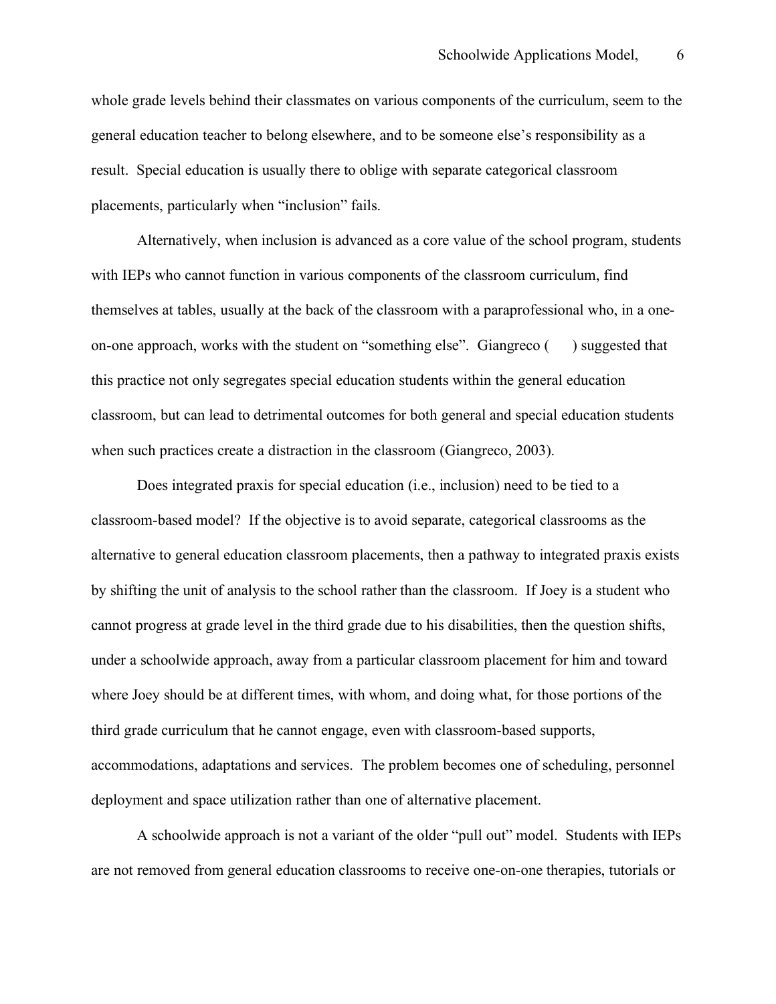whole grade levels behind their classmates on various components of the curriculum, seem to the general education teacher to belong elsewhere, and to be someone else's responsibility as a result. Special education is usually there to oblige with separate categorical classroom placements, particularly when "inclusion" fails.

Alternatively, when inclusion is advanced as a core value of the school program, students with IEPs who cannot function in various components of the classroom curriculum, find themselves at tables, usually at the back of the classroom with a paraprofessional who, in a oneon-one approach, works with the student on "something else". Giangreco ( ) suggested that this practice not only segregates special education students within the general education classroom, but can lead to detrimental outcomes for both general and special education students when such practices create a distraction in the classroom (Giangreco, 2003).

Does integrated praxis for special education (i.e., inclusion) need to be tied to a classroom-based model? If the objective is to avoid separate, categorical classrooms as the alternative to general education classroom placements, then a pathway to integrated praxis exists by shifting the unit of analysis to the school rather than the classroom. If Joey is a student who cannot progress at grade level in the third grade due to his disabilities, then the question shifts, under a schoolwide approach, away from a particular classroom placement for him and toward where Joey should be at different times, with whom, and doing what, for those portions of the third grade curriculum that he cannot engage, even with classroom-based supports, accommodations, adaptations and services. The problem becomes one of scheduling, personnel deployment and space utilization rather than one of alternative placement.

A schoolwide approach is not a variant of the older "pull out" model. Students with IEPs are not removed from general education classrooms to receive one-on-one therapies, tutorials or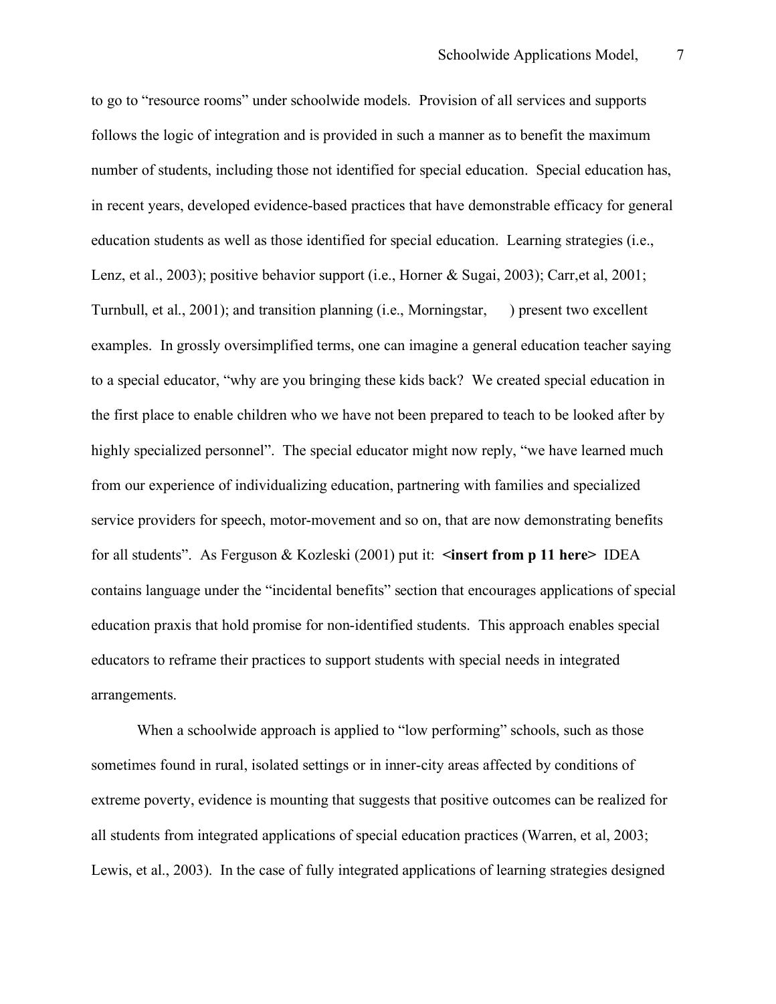to go to "resource rooms" under schoolwide models. Provision of all services and supports follows the logic of integration and is provided in such a manner as to benefit the maximum number of students, including those not identified for special education. Special education has, in recent years, developed evidence-based practices that have demonstrable efficacy for general education students as well as those identified for special education. Learning strategies (i.e., Lenz, et al., 2003); positive behavior support (i.e., Horner & Sugai, 2003); Carr, et al, 2001; Turnbull, et al., 2001); and transition planning (i.e., Morningstar, ) present two excellent examples. In grossly oversimplified terms, one can imagine a general education teacher saying to a special educator, "why are you bringing these kids back? We created special education in the first place to enable children who we have not been prepared to teach to be looked after by highly specialized personnel". The special educator might now reply, "we have learned much from our experience of individualizing education, partnering with families and specialized service providers for speech, motor-movement and so on, that are now demonstrating benefits for all students". As Ferguson & Kozleski (2001) put it: **<insert from p 11 here>** IDEA contains language under the "incidental benefits" section that encourages applications of special education praxis that hold promise for non-identified students. This approach enables special educators to reframe their practices to support students with special needs in integrated arrangements.

When a schoolwide approach is applied to "low performing" schools, such as those sometimes found in rural, isolated settings or in inner-city areas affected by conditions of extreme poverty, evidence is mounting that suggests that positive outcomes can be realized for all students from integrated applications of special education practices (Warren, et al, 2003; Lewis, et al., 2003). In the case of fully integrated applications of learning strategies designed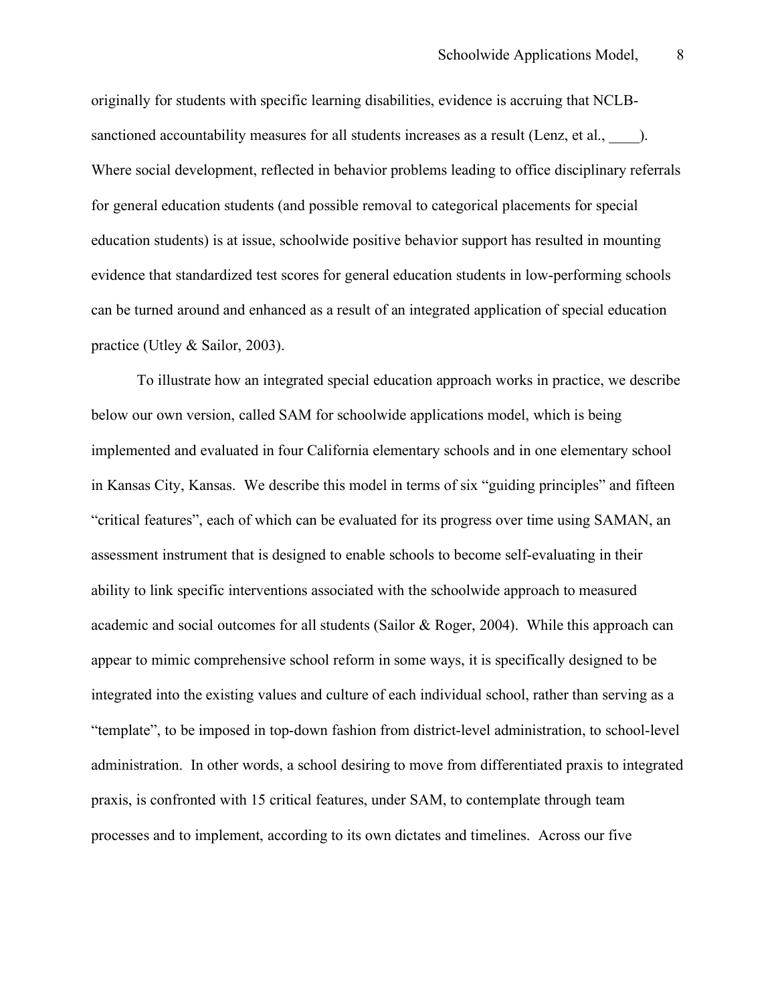originally for students with specific learning disabilities, evidence is accruing that NCLBsanctioned accountability measures for all students increases as a result (Lenz, et al.,  $\qquad$ ). Where social development, reflected in behavior problems leading to office disciplinary referrals for general education students (and possible removal to categorical placements for special education students) is at issue, schoolwide positive behavior support has resulted in mounting evidence that standardized test scores for general education students in low-performing schools can be turned around and enhanced as a result of an integrated application of special education practice (Utley & Sailor, 2003).

To illustrate how an integrated special education approach works in practice, we describe below our own version, called SAM for schoolwide applications model, which is being implemented and evaluated in four California elementary schools and in one elementary school in Kansas City, Kansas. We describe this model in terms of six "guiding principles" and fifteen "critical features", each of which can be evaluated for its progress over time using SAMAN, an assessment instrument that is designed to enable schools to become self-evaluating in their ability to link specific interventions associated with the schoolwide approach to measured academic and social outcomes for all students (Sailor & Roger, 2004). While this approach can appear to mimic comprehensive school reform in some ways, it is specifically designed to be integrated into the existing values and culture of each individual school, rather than serving as a "template", to be imposed in top-down fashion from district-level administration, to school-level administration. In other words, a school desiring to move from differentiated praxis to integrated praxis, is confronted with 15 critical features, under SAM, to contemplate through team processes and to implement, according to its own dictates and timelines. Across our five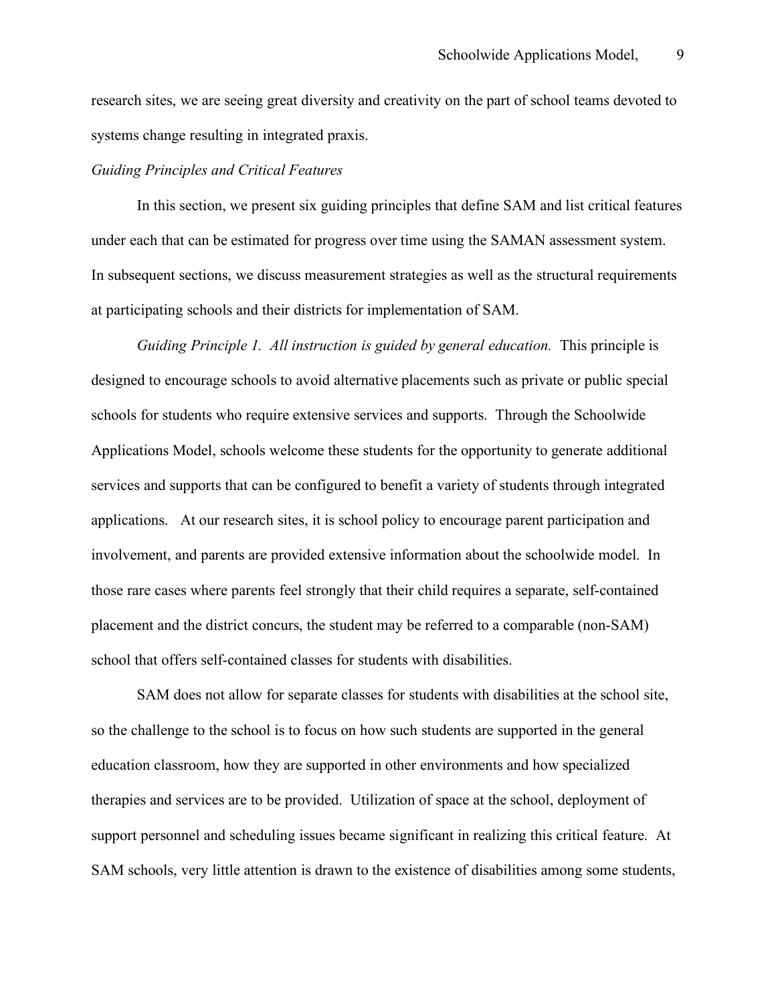research sites, we are seeing great diversity and creativity on the part of school teams devoted to systems change resulting in integrated praxis.

#### *Guiding Principles and Critical Features*

In this section, we present six guiding principles that define SAM and list critical features under each that can be estimated for progress over time using the SAMAN assessment system. In subsequent sections, we discuss measurement strategies as well as the structural requirements at participating schools and their districts for implementation of SAM.

*Guiding Principle 1. All instruction is guided by general education.* This principle is designed to encourage schools to avoid alternative placements such as private or public special schools for students who require extensive services and supports. Through the Schoolwide Applications Model, schools welcome these students for the opportunity to generate additional services and supports that can be configured to benefit a variety of students through integrated applications. At our research sites, it is school policy to encourage parent participation and involvement, and parents are provided extensive information about the schoolwide model. In those rare cases where parents feel strongly that their child requires a separate, self-contained placement and the district concurs, the student may be referred to a comparable (non-SAM) school that offers self-contained classes for students with disabilities.

SAM does not allow for separate classes for students with disabilities at the school site, so the challenge to the school is to focus on how such students are supported in the general education classroom, how they are supported in other environments and how specialized therapies and services are to be provided. Utilization of space at the school, deployment of support personnel and scheduling issues became significant in realizing this critical feature. At SAM schools, very little attention is drawn to the existence of disabilities among some students,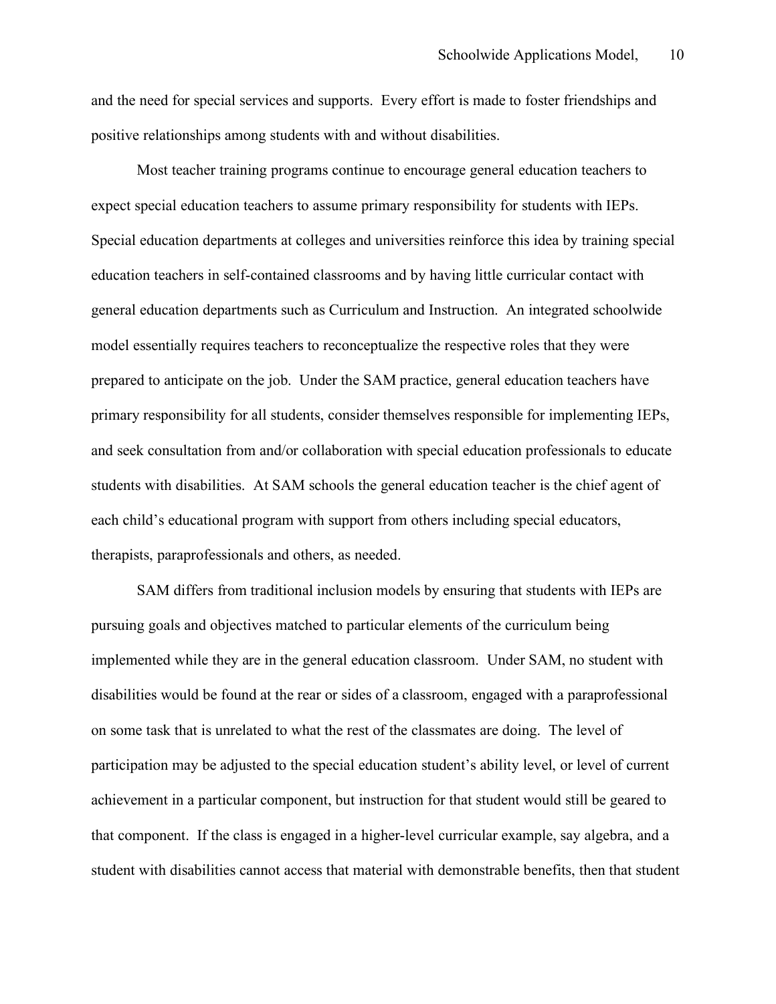and the need for special services and supports. Every effort is made to foster friendships and positive relationships among students with and without disabilities.

Most teacher training programs continue to encourage general education teachers to expect special education teachers to assume primary responsibility for students with IEPs. Special education departments at colleges and universities reinforce this idea by training special education teachers in self-contained classrooms and by having little curricular contact with general education departments such as Curriculum and Instruction. An integrated schoolwide model essentially requires teachers to reconceptualize the respective roles that they were prepared to anticipate on the job. Under the SAM practice, general education teachers have primary responsibility for all students, consider themselves responsible for implementing IEPs, and seek consultation from and/or collaboration with special education professionals to educate students with disabilities. At SAM schools the general education teacher is the chief agent of each child's educational program with support from others including special educators, therapists, paraprofessionals and others, as needed.

SAM differs from traditional inclusion models by ensuring that students with IEPs are pursuing goals and objectives matched to particular elements of the curriculum being implemented while they are in the general education classroom. Under SAM, no student with disabilities would be found at the rear or sides of a classroom, engaged with a paraprofessional on some task that is unrelated to what the rest of the classmates are doing. The level of participation may be adjusted to the special education student's ability level, or level of current achievement in a particular component, but instruction for that student would still be geared to that component. If the class is engaged in a higher-level curricular example, say algebra, and a student with disabilities cannot access that material with demonstrable benefits, then that student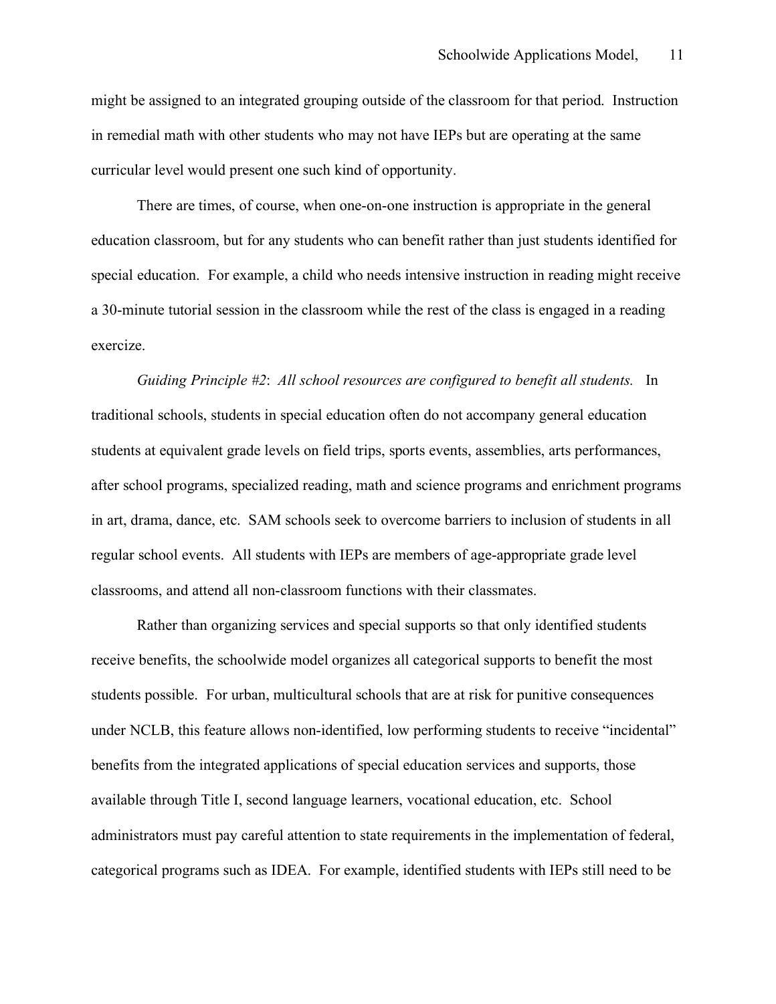might be assigned to an integrated grouping outside of the classroom for that period. Instruction in remedial math with other students who may not have IEPs but are operating at the same curricular level would present one such kind of opportunity.

There are times, of course, when one-on-one instruction is appropriate in the general education classroom, but for any students who can benefit rather than just students identified for special education. For example, a child who needs intensive instruction in reading might receive a 30-minute tutorial session in the classroom while the rest of the class is engaged in a reading exercize.

*Guiding Principle #2*: *All school resources are configured to benefit all students.* In traditional schools, students in special education often do not accompany general education students at equivalent grade levels on field trips, sports events, assemblies, arts performances, after school programs, specialized reading, math and science programs and enrichment programs in art, drama, dance, etc. SAM schools seek to overcome barriers to inclusion of students in all regular school events. All students with IEPs are members of age-appropriate grade level classrooms, and attend all non-classroom functions with their classmates.

Rather than organizing services and special supports so that only identified students receive benefits, the schoolwide model organizes all categorical supports to benefit the most students possible. For urban, multicultural schools that are at risk for punitive consequences under NCLB, this feature allows non-identified, low performing students to receive "incidental" benefits from the integrated applications of special education services and supports, those available through Title I, second language learners, vocational education, etc. School administrators must pay careful attention to state requirements in the implementation of federal, categorical programs such as IDEA. For example, identified students with IEPs still need to be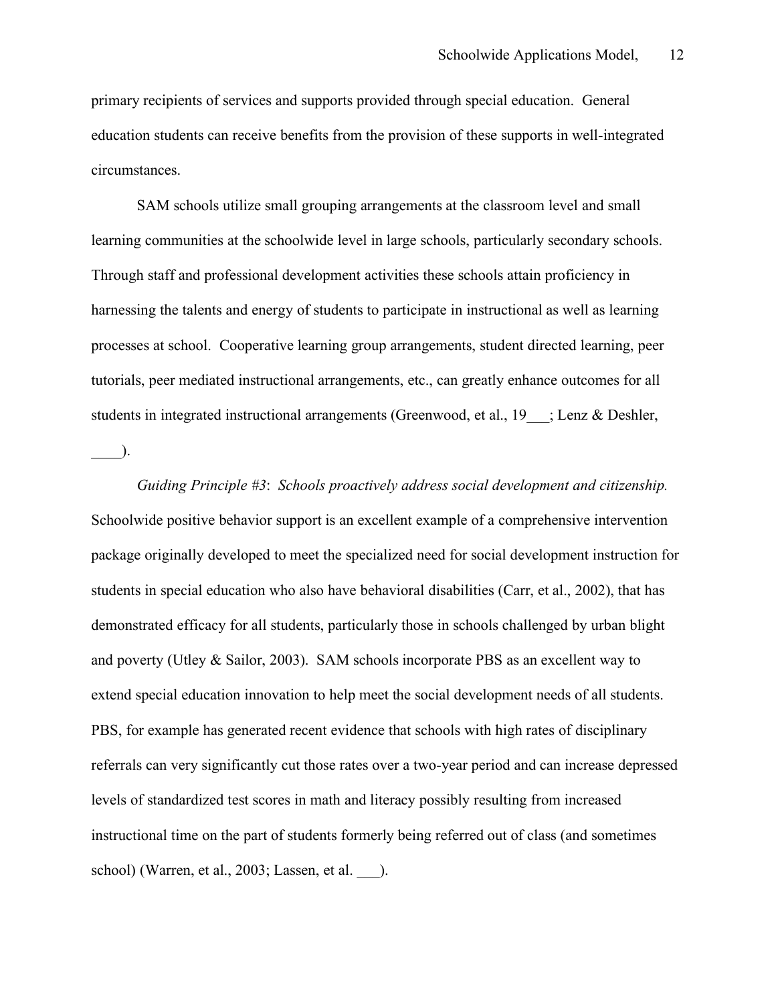primary recipients of services and supports provided through special education. General education students can receive benefits from the provision of these supports in well-integrated circumstances.

SAM schools utilize small grouping arrangements at the classroom level and small learning communities at the schoolwide level in large schools, particularly secondary schools. Through staff and professional development activities these schools attain proficiency in harnessing the talents and energy of students to participate in instructional as well as learning processes at school. Cooperative learning group arrangements, student directed learning, peer tutorials, peer mediated instructional arrangements, etc., can greatly enhance outcomes for all students in integrated instructional arrangements (Greenwood, et al., 19 ; Lenz & Deshler,  $\Box$ ).

*Guiding Principle #3*: *Schools proactively address social development and citizenship.* Schoolwide positive behavior support is an excellent example of a comprehensive intervention package originally developed to meet the specialized need for social development instruction for students in special education who also have behavioral disabilities (Carr, et al., 2002), that has demonstrated efficacy for all students, particularly those in schools challenged by urban blight and poverty (Utley & Sailor, 2003). SAM schools incorporate PBS as an excellent way to extend special education innovation to help meet the social development needs of all students. PBS, for example has generated recent evidence that schools with high rates of disciplinary referrals can very significantly cut those rates over a two-year period and can increase depressed levels of standardized test scores in math and literacy possibly resulting from increased instructional time on the part of students formerly being referred out of class (and sometimes school) (Warren, et al., 2003; Lassen, et al. \_\_\_).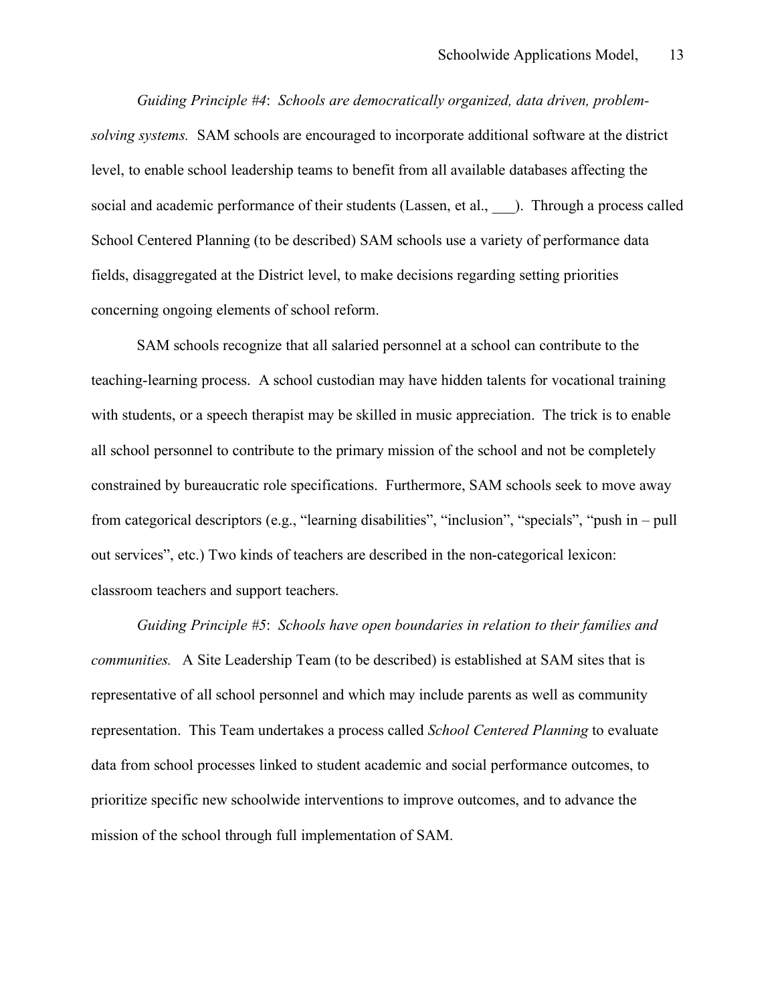*Guiding Principle #4*: *Schools are democratically organized, data driven, problemsolving systems.* SAM schools are encouraged to incorporate additional software at the district level, to enable school leadership teams to benefit from all available databases affecting the social and academic performance of their students (Lassen, et al., ). Through a process called School Centered Planning (to be described) SAM schools use a variety of performance data fields, disaggregated at the District level, to make decisions regarding setting priorities concerning ongoing elements of school reform.

SAM schools recognize that all salaried personnel at a school can contribute to the teaching-learning process. A school custodian may have hidden talents for vocational training with students, or a speech therapist may be skilled in music appreciation. The trick is to enable all school personnel to contribute to the primary mission of the school and not be completely constrained by bureaucratic role specifications. Furthermore, SAM schools seek to move away from categorical descriptors (e.g., "learning disabilities", "inclusion", "specials", "push in – pull out services", etc.) Two kinds of teachers are described in the non-categorical lexicon: classroom teachers and support teachers.

*Guiding Principle #5*: *Schools have open boundaries in relation to their families and communities.* A Site Leadership Team (to be described) is established at SAM sites that is representative of all school personnel and which may include parents as well as community representation. This Team undertakes a process called *School Centered Planning* to evaluate data from school processes linked to student academic and social performance outcomes, to prioritize specific new schoolwide interventions to improve outcomes, and to advance the mission of the school through full implementation of SAM.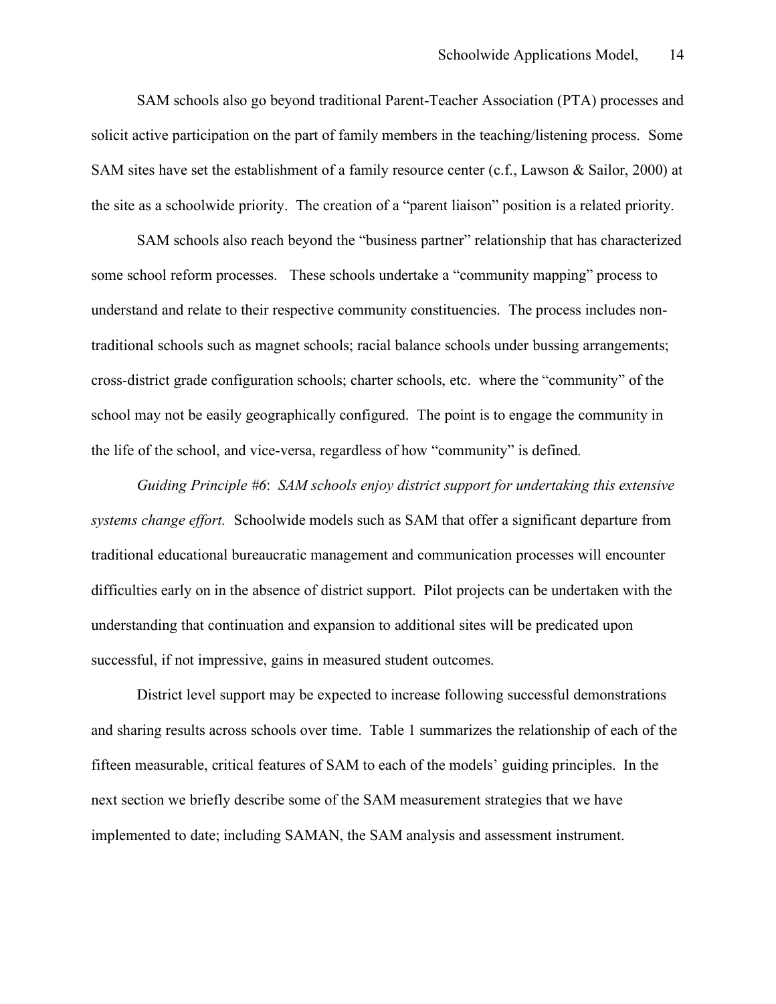SAM schools also go beyond traditional Parent-Teacher Association (PTA) processes and solicit active participation on the part of family members in the teaching/listening process. Some SAM sites have set the establishment of a family resource center (c.f., Lawson & Sailor, 2000) at the site as a schoolwide priority. The creation of a "parent liaison" position is a related priority.

SAM schools also reach beyond the "business partner" relationship that has characterized some school reform processes. These schools undertake a "community mapping" process to understand and relate to their respective community constituencies. The process includes nontraditional schools such as magnet schools; racial balance schools under bussing arrangements; cross-district grade configuration schools; charter schools, etc. where the "community" of the school may not be easily geographically configured. The point is to engage the community in the life of the school, and vice-versa, regardless of how "community" is defined.

*Guiding Principle #6*: *SAM schools enjoy district support for undertaking this extensive systems change effort.* Schoolwide models such as SAM that offer a significant departure from traditional educational bureaucratic management and communication processes will encounter difficulties early on in the absence of district support. Pilot projects can be undertaken with the understanding that continuation and expansion to additional sites will be predicated upon successful, if not impressive, gains in measured student outcomes.

District level support may be expected to increase following successful demonstrations and sharing results across schools over time. Table 1 summarizes the relationship of each of the fifteen measurable, critical features of SAM to each of the models' guiding principles. In the next section we briefly describe some of the SAM measurement strategies that we have implemented to date; including SAMAN, the SAM analysis and assessment instrument.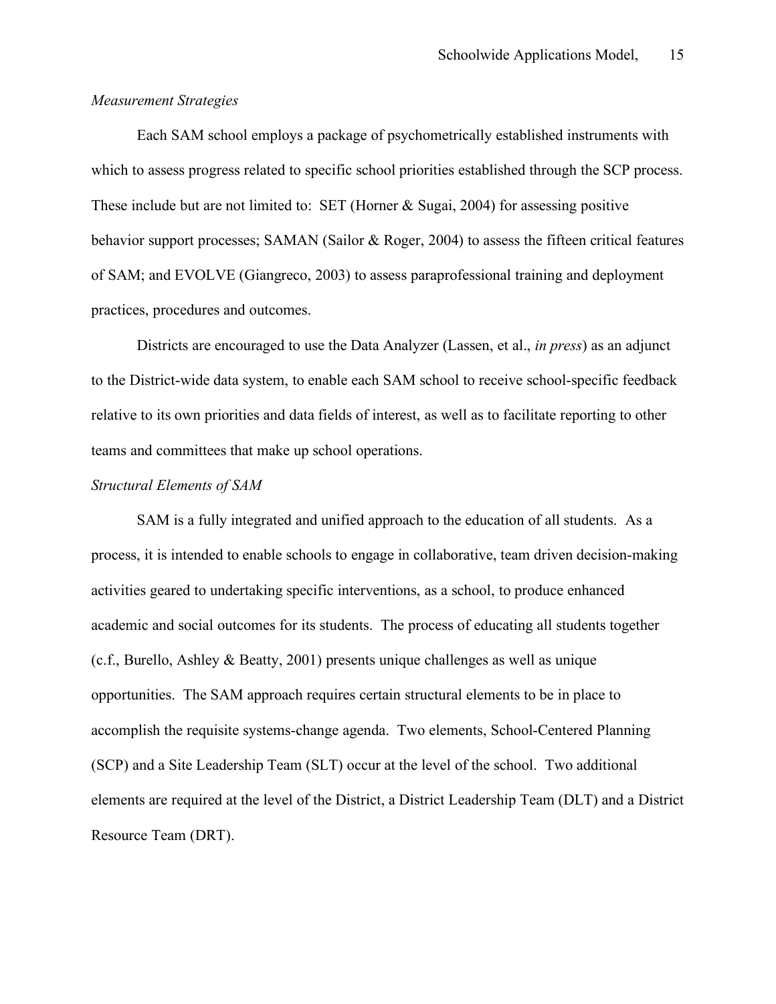### *Measurement Strategies*

Each SAM school employs a package of psychometrically established instruments with which to assess progress related to specific school priorities established through the SCP process. These include but are not limited to: SET (Horner & Sugai, 2004) for assessing positive behavior support processes; SAMAN (Sailor & Roger, 2004) to assess the fifteen critical features of SAM; and EVOLVE (Giangreco, 2003) to assess paraprofessional training and deployment practices, procedures and outcomes.

Districts are encouraged to use the Data Analyzer (Lassen, et al., *in press*) as an adjunct to the District-wide data system, to enable each SAM school to receive school-specific feedback relative to its own priorities and data fields of interest, as well as to facilitate reporting to other teams and committees that make up school operations.

#### *Structural Elements of SAM*

SAM is a fully integrated and unified approach to the education of all students. As a process, it is intended to enable schools to engage in collaborative, team driven decision-making activities geared to undertaking specific interventions, as a school, to produce enhanced academic and social outcomes for its students. The process of educating all students together (c.f., Burello, Ashley & Beatty, 2001) presents unique challenges as well as unique opportunities. The SAM approach requires certain structural elements to be in place to accomplish the requisite systems-change agenda. Two elements, School-Centered Planning (SCP) and a Site Leadership Team (SLT) occur at the level of the school. Two additional elements are required at the level of the District, a District Leadership Team (DLT) and a District Resource Team (DRT).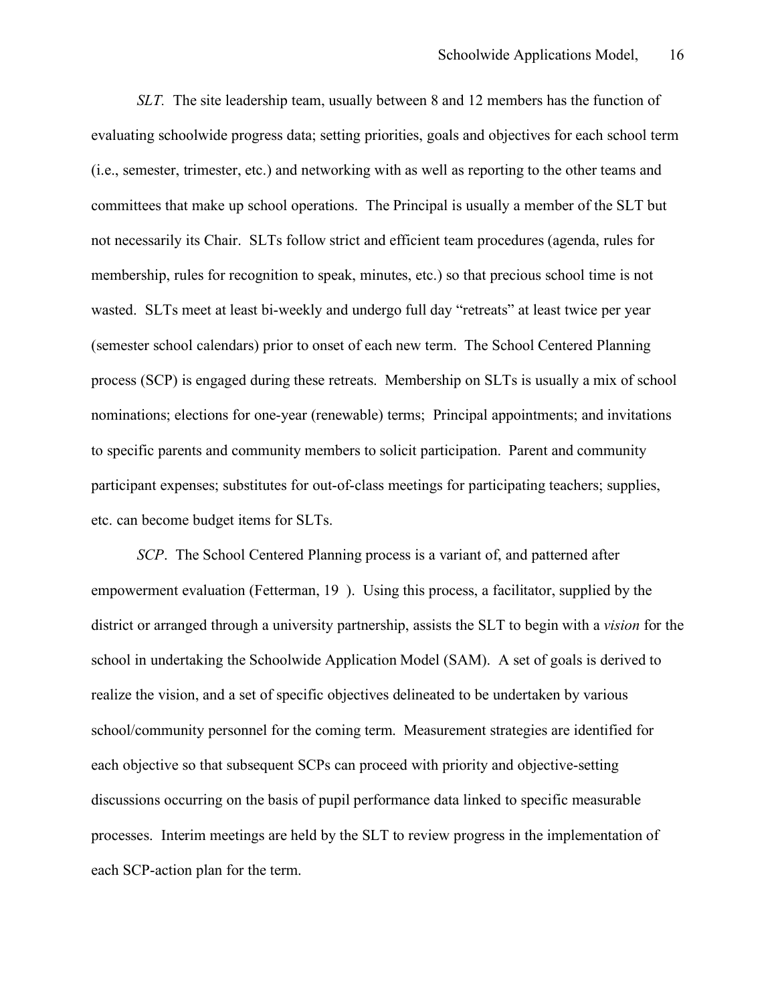*SLT.* The site leadership team, usually between 8 and 12 members has the function of evaluating schoolwide progress data; setting priorities, goals and objectives for each school term (i.e., semester, trimester, etc.) and networking with as well as reporting to the other teams and committees that make up school operations. The Principal is usually a member of the SLT but not necessarily its Chair. SLTs follow strict and efficient team procedures (agenda, rules for membership, rules for recognition to speak, minutes, etc.) so that precious school time is not wasted. SLTs meet at least bi-weekly and undergo full day "retreats" at least twice per year (semester school calendars) prior to onset of each new term. The School Centered Planning process (SCP) is engaged during these retreats. Membership on SLTs is usually a mix of school nominations; elections for one-year (renewable) terms; Principal appointments; and invitations to specific parents and community members to solicit participation. Parent and community participant expenses; substitutes for out-of-class meetings for participating teachers; supplies, etc. can become budget items for SLTs.

*SCP*. The School Centered Planning process is a variant of, and patterned after empowerment evaluation (Fetterman, 19 ). Using this process, a facilitator, supplied by the district or arranged through a university partnership, assists the SLT to begin with a *vision* for the school in undertaking the Schoolwide Application Model (SAM). A set of goals is derived to realize the vision, and a set of specific objectives delineated to be undertaken by various school/community personnel for the coming term. Measurement strategies are identified for each objective so that subsequent SCPs can proceed with priority and objective-setting discussions occurring on the basis of pupil performance data linked to specific measurable processes. Interim meetings are held by the SLT to review progress in the implementation of each SCP-action plan for the term.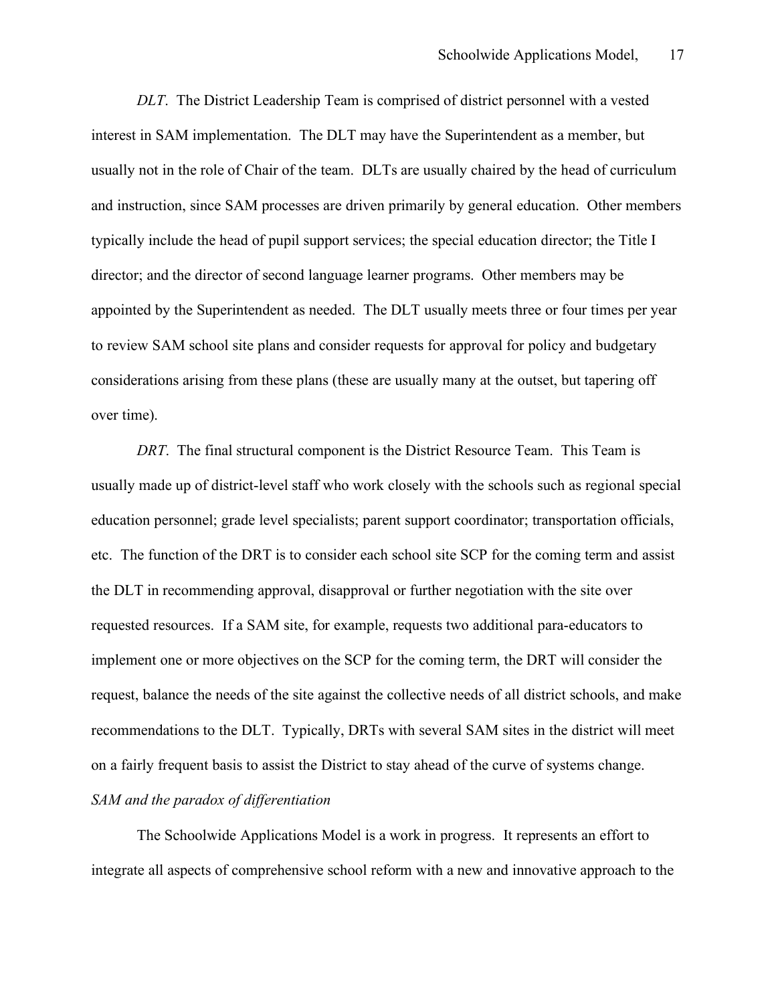*DLT*. The District Leadership Team is comprised of district personnel with a vested interest in SAM implementation. The DLT may have the Superintendent as a member, but usually not in the role of Chair of the team. DLTs are usually chaired by the head of curriculum and instruction, since SAM processes are driven primarily by general education. Other members typically include the head of pupil support services; the special education director; the Title I director; and the director of second language learner programs. Other members may be appointed by the Superintendent as needed. The DLT usually meets three or four times per year to review SAM school site plans and consider requests for approval for policy and budgetary considerations arising from these plans (these are usually many at the outset, but tapering off over time).

*DRT*. The final structural component is the District Resource Team. This Team is usually made up of district-level staff who work closely with the schools such as regional special education personnel; grade level specialists; parent support coordinator; transportation officials, etc. The function of the DRT is to consider each school site SCP for the coming term and assist the DLT in recommending approval, disapproval or further negotiation with the site over requested resources. If a SAM site, for example, requests two additional para-educators to implement one or more objectives on the SCP for the coming term, the DRT will consider the request, balance the needs of the site against the collective needs of all district schools, and make recommendations to the DLT. Typically, DRTs with several SAM sites in the district will meet on a fairly frequent basis to assist the District to stay ahead of the curve of systems change.

## *SAM and the paradox of differentiation*

The Schoolwide Applications Model is a work in progress. It represents an effort to integrate all aspects of comprehensive school reform with a new and innovative approach to the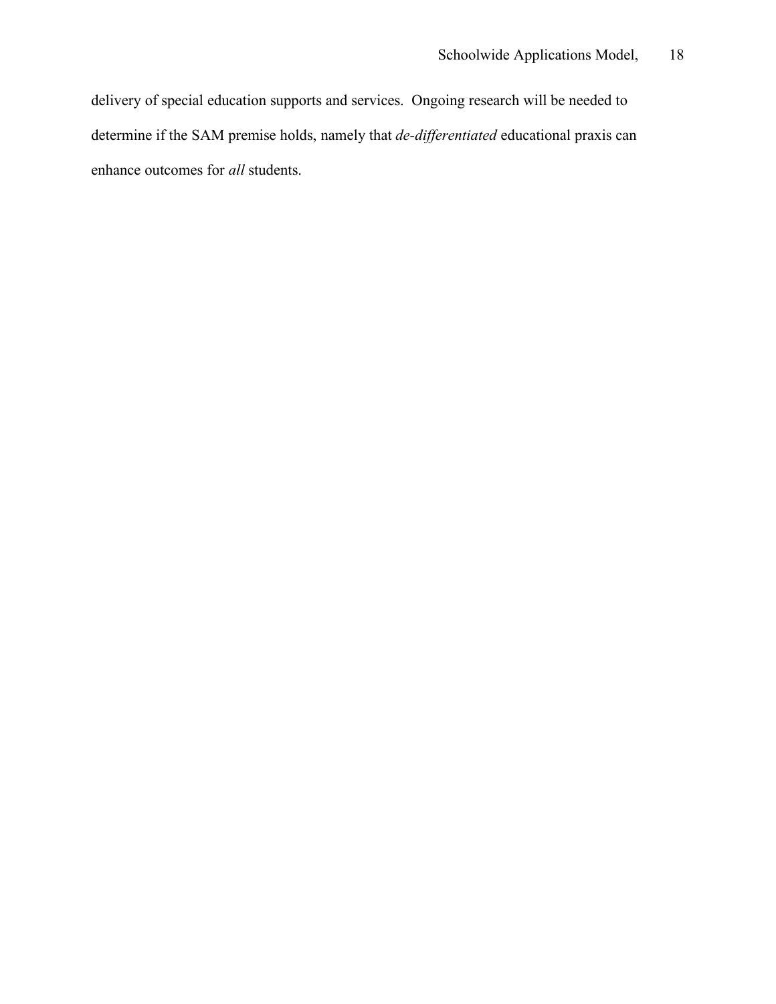delivery of special education supports and services. Ongoing research will be needed to determine if the SAM premise holds, namely that *de-differentiated* educational praxis can enhance outcomes for *all* students.